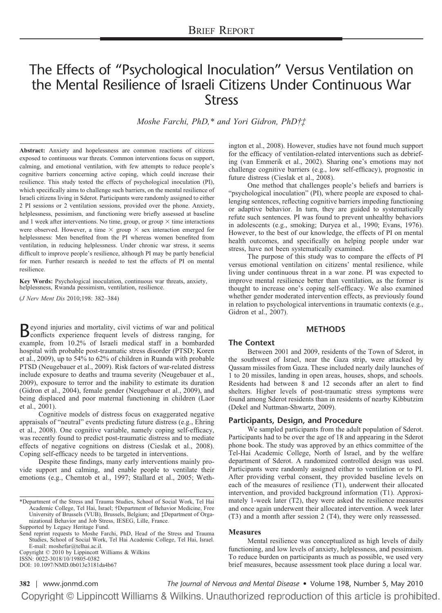# The Effects of "Psychological Inoculation" Versus Ventilation on the Mental Resilience of Israeli Citizens Under Continuous War Stress

*Moshe Farchi, PhD,\* and Yori Gidron, PhD†‡*

**Abstract:** Anxiety and hopelessness are common reactions of citizens exposed to continuous war threats. Common interventions focus on support, calming, and emotional ventilation, with few attempts to reduce people's cognitive barriers concerning active coping, which could increase their resilience. This study tested the effects of psychological inoculation (PI), which specifically aims to challenge such barriers, on the mental resilience of Israeli citizens living in Sderot. Participants were randomly assigned to either 2 PI sessions or 2 ventilation sessions, provided over the phone. Anxiety, helplessness, pessimism, and functioning were briefly assessed at baseline and 1 week after interventions. No time, group, or group  $\times$  time interactions were observed. However, a time  $\times$  group  $\times$  sex interaction emerged for helplessness: Men benefited from the PI whereas women benefited from ventilation, in reducing helplessness. Under chronic war stress, it seems difficult to improve people's resilience, although PI may be partly beneficial for men. Further research is needed to test the effects of PI on mental resilience.

**Key Words:** Psychological inoculation, continuous war threats, anxiety, helplessness, Rwanda pessimism, ventilation, resilience.

(*J Nerv Ment Dis* 2010;198: 382–384)

**B**eyond injuries and mortality, civil victims of war and political<br>conflicts experience frequent levels of distress ranging, for example, from 10.2% of Israeli medical staff in a bombarded hospital with probable post-traumatic stress disorder (PTSD; Koren et al., 2009), up to 54% to 62% of children in Ruanda with probable PTSD (Neugebauer et al., 2009). Risk factors of war-related distress include exposure to deaths and trauma severity (Neugebauer et al., 2009), exposure to terror and the inability to estimate its duration (Gidron et al., 2004), female gender (Neugebauer et al., 2009), and being displaced and poor maternal functioning in children (Laor et al., 2001).

Cognitive models of distress focus on exaggerated negative appraisals of "neutral" events predicting future distress (e.g., Ehring et al., 2008). One cognitive variable, namely coping self-efficacy, was recently found to predict post-traumatic distress and to mediate effects of negative cognitions on distress (Cieslak et al., 2008). Coping self-efficacy needs to be targeted in interventions.

Despite these findings, many early interventions mainly provide support and calming, and enable people to ventilate their emotions (e.g., Chemtob et al., 1997; Stallard et al., 2005; Weth-

Send reprint requests to Moshe Farchi, PhD, Head of the Stress and Trauma Studies, School of Social Work, Tel Hai Academic College, Tel Hai, Israel. E-mail: moshefar@telhai.ac.il.

Copyright © 2010 by Lippincott Williams & Wilkins ISSN: 0022-3018/10/19805-0382

DOI: 10.1097/NMD.0b013e3181da4b67

ington et al., 2008). However, studies have not found much support for the efficacy of ventilation-related interventions such as debriefing (van Emmerik et al., 2002). Sharing one's emotions may not challenge cognitive barriers (e.g., low self-efficacy), prognostic in future distress (Cieslak et al., 2008).

One method that challenges people's beliefs and barriers is "psychological inoculation" (PI), where people are exposed to challenging sentences, reflecting cognitive barriers impeding functioning or adaptive behavior. In turn, they are guided to systematically refute such sentences. PI was found to prevent unhealthy behaviors in adolescents (e.g., smoking; Duryea et al., 1990; Evans, 1976). However, to the best of our knowledge, the effects of PI on mental health outcomes, and specifically on helping people under war stress, have not been systematically examined.

The purpose of this study was to compare the effects of PI versus emotional ventilation on citizens' mental resilience, while living under continuous threat in a war zone. PI was expected to improve mental resilience better than ventilation, as the former is thought to increase one's coping self-efficacy. We also examined whether gender moderated intervention effects, as previously found in relation to psychological interventions in traumatic contexts (e.g., Gidron et al., 2007).

#### **METHODS**

#### **The Context**

Between 2001 and 2009, residents of the Town of Sderot, in the southwest of Israel, near the Gaza strip, were attacked by Qassam missiles from Gaza. These included nearly daily launches of 1 to 20 missiles, landing in open areas, houses, shops, and schools. Residents had between 8 and 12 seconds after an alert to find shelters. Higher levels of post-traumatic stress symptoms were found among Sderot residents than in residents of nearby Kibbutzim (Dekel and Nuttman-Shwartz, 2009).

#### **Participants, Design, and Procedure**

We sampled participants from the adult population of Sderot. Participants had to be over the age of 18 and appearing in the Sderot phone book. The study was approved by an ethics committee of the Tel-Hai Academic College, North of Israel, and by the welfare department of Sderot. A randomized controlled design was used. Participants were randomly assigned either to ventilation or to PI. After providing verbal consent, they provided baseline levels on each of the measures of resilience (T1), underwent their allocated intervention, and provided background information (T1). Approximately 1-week later (T2), they were asked the resilience measures and once again underwent their allocated intervention. A week later (T3) and a month after session 2 (T4), they were only reassessed.

#### **Measures**

Mental resilience was conceptualized as high levels of daily functioning, and low levels of anxiety, helplessness, and pessimism. To reduce burden on participants as much as possible, we used very brief measures, because assessment took place during a local war.

**382** | [www.jonmd.com](http://www.jonmd.com) *The Journal of Nervous and Mental Disease* • Volume 198, Number 5, May 2010Copyright © Lippincott Williams & Wilkins. Unauthorized reproduction of this article is prohibited.

<sup>\*</sup>Department of the Stress and Trauma Studies, School of Social Work, Tel Hai Academic College, Tel Hai, Israel; †Department of Behavior Medicine, Free University of Brussels (VUB), Brussels, Belgium; and ‡Department of Organizational Behavior and Job Stress, IESEG, Lille, France. Supported by Legacy Heritage Fund.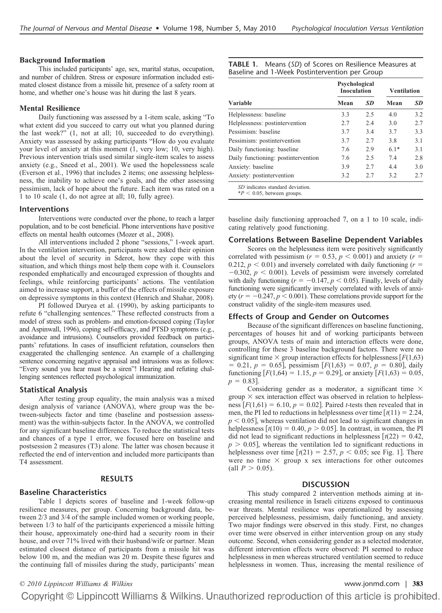#### **Background Information**

This included participants' age, sex, marital status, occupation, and number of children. Stress or exposure information included estimated closest distance from a missile hit, presence of a safety room at home, and whether one's house was hit during the last 8 years.

#### **Mental Resilience**

Daily functioning was assessed by a 1-item scale, asking "To what extent did you succeed to carry out what you planned during the last week?" (1, not at all; 10, succeeded to do everything). Anxiety was assessed by asking participants "How do you evaluate your level of anxiety at this moment (1, very low; 10, very high). Previous intervention trials used similar single-item scales to assess anxiety (e.g., Sneed et al., 2001). We used the hopelessness scale (Everson et al., 1996) that includes 2 items; one assessing helplessness, the inability to achieve one's goals, and the other assessing pessimism, lack of hope about the future. Each item was rated on a 1 to 10 scale (1, do not agree at all; 10, fully agree).

#### **Interventions**

Interventions were conducted over the phone, to reach a larger population, and to be cost beneficial. Phone interventions have positive effects on mental health outcomes (Mozer et al., 2008).

All interventions included 2 phone "sessions," 1-week apart. In the ventilation intervention, participants were asked their opinion about the level of security in Sderot, how they cope with this situation, and which things most help them cope with it. Counselors responded emphatically and encouraged expression of thoughts and feelings, while reinforcing participants' actions. The ventilation aimed to increase support, a buffer of the effects of missile exposure on depressive symptoms in this context (Henrich and Shahar, 2008).

PI followed Duryea et al. (1990), by asking participants to refute 6 "challenging sentences." These reflected constructs from a model of stress such as problem- and emotion-focused coping (Taylor and Aspinwall, 1996), coping self-efficacy, and PTSD symptoms (e.g., avoidance and intrusions). Counselors provided feedback on participants' refutations. In cases of insufficient refutation, counselors then exaggerated the challenging sentence. An example of a challenging sentence concerning negative appraisal and intrusions was as follows: "Every sound you hear must be a siren"! Hearing and refuting challenging sentences reflected psychological immunization.

#### **Statistical Analysis**

After testing group equality, the main analysis was a mixed design analysis of variance (ANOVA), where group was the between-subjects factor and time (baseline and postsession assessment) was the within-subjects factor. In the ANOVA, we controlled for any significant baseline differences. To reduce the statistical tests and chances of a type 1 error, we focused here on baseline and postsession 2 measures (T3) alone. The latter was chosen because it reflected the end of intervention and included more participants than T4 assessment.

#### **RESULTS**

#### **Baseline Characteristics**

Table 1 depicts scores of baseline and 1-week follow-up resilience measures, per group. Concerning background data, between 2/3 and 3/4 of the sample included women or working people, between 1/3 to half of the participants experienced a missile hitting their house, approximately one-third had a security room in their house, and over 71% lived with their husband/wife or partner. Mean estimated closest distance of participants from a missile hit was below 100 m, and the median was 20 m. Despite these figures and the continuing fall of missiles during the study, participants' mean

**TABLE 1.** Means (*SD*) of Scores on Resilience Measures at Baseline and 1-Week Postintervention per Group

| Variable                            | Psychological<br>Inoculation |           | Ventilation |           |
|-------------------------------------|------------------------------|-----------|-------------|-----------|
|                                     | Mean                         | <b>SD</b> | Mean        | <b>SD</b> |
| Helplessness: baseline              | 3.3                          | 2.5       | 4.0         | 3.2       |
| Helplessness: postintervention      | 2.7                          | 2.4       | 3.0         | 2.7       |
| Pessimism: baseline                 | 3.7                          | 3.4       | 3.7         | 3.3       |
| Pessimism: postintervention         | 3.7                          | 2.7       | 3.8         | 3.1       |
| Daily functioning: baseline         | 7.6                          | 2.9       | $6.1*$      | 3.1       |
| Daily functioning: postintervention | 7.6                          | 2.5       | 7.4         | 2.8       |
| Anxiety: baseline                   | 3.9                          | 2.7       | 4.4         | 3.0       |
| Anxiety: postintervention           | 3.2                          | 2.7       | 3.2         | 2.7       |
| SD indicates standard deviation.    |                              |           |             |           |

 $*P < 0.05$ , between groups.

baseline daily functioning approached 7, on a 1 to 10 scale, indicating relatively good functioning.

#### **Correlations Between Baseline Dependent Variables**

Scores on the helplessness item were positively significantly correlated with pessimism ( $r = 0.53$ ,  $p < 0.001$ ) and anxiety ( $r =$ 0.212,  $p < 0.01$ ) and inversely correlated with daily functioning ( $r =$  $-0.302$ ,  $p < 0.001$ ). Levels of pessimism were inversely correlated with daily functioning ( $r = -0.147$ ,  $p < 0.05$ ). Finally, levels of daily functioning were significantly inversely correlated with levels of anxiety  $(r = -0.247, p < 0.001)$ . These correlations provide support for the construct validity of the single-item measures used.

#### **Effects of Group and Gender on Outcomes**

Because of the significant differences on baseline functioning, percentages of houses hit and of working participants between groups, ANOVA tests of main and interaction effects were done, controlling for these 3 baseline background factors. There were no significant time  $\times$  group interaction effects for helplessness  $F(1,63)$  $= 0.21, p = 0.65$ , pessimism  $[F(1,63) = 0.07, p = 0.80]$ , daily functioning  $[F(1,64) = 1.15, p = 0.29]$ , or anxiety  $[F(1,63) = 0.05,$  $p = 0.83$ .

Considering gender as a moderator, a significant time  $\times$ group  $\times$  sex interaction effect was observed in relation to helplessness  $[F(1,61) = 6.10, p = 0.02]$ . Paired *t*-tests then revealed that in men, the PI led to reductions in helplessness over time  $\left[ t(11) = 2.24, \right]$  $p < 0.05$ , whereas ventilation did not lead to significant changes in helplessness  $[t(10) = 0.40, p > 0.05]$ . In contrast, in women, the PI did not lead to significant reductions in helplessness  $\left[ t(22) = 0.42, \right]$  $p > 0.05$ , whereas the ventilation led to significant reductions in helplessness over time  $[t(21) = 2.57, p < 0.05$ ; see Fig. 1. There were no time  $\times$  group x sex interactions for other outcomes (all  $P > 0.05$ ).

#### **DISCUSSION**

This study compared 2 intervention methods aiming at increasing mental resilience in Israeli citizens exposed to continuous war threats. Mental resilience was operationalized by assessing perceived helplessness, pessimism, daily functioning, and anxiety. Two major findings were observed in this study. First, no changes over time were observed in either intervention group on any study outcome. Second, when considering gender as a selected moderator, different intervention effects were observed: PI seemed to reduce helplessness in men whereas structured ventilation seemed to reduce helplessness in women. Thus, increasing the mental resilience of

## *© 2010 Lippincott Williams & Wilkins* [www.jonmd.com](http://www.jonmd.com) | **383**Copyright © Lippincott Williams & Wilkins. Unauthorized reproduction of this article is prohibited.